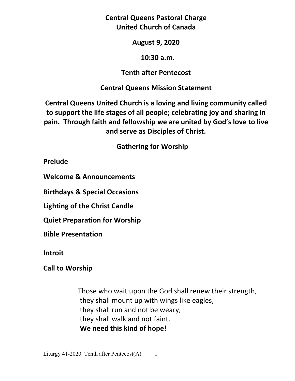**Central Queens Pastoral Charge United Church of Canada** 

#### **August 9, 2020**

#### **10:30 a.m.**

### **Tenth after Pentecost**

### **Central Queens Mission Statement**

**Central Queens United Church is a loving and living community called to support the life stages of all people; celebrating joy and sharing in pain. Through faith and fellowship we are united by God's love to live and serve as Disciples of Christ.**

# **Gathering for Worship**

**Prelude** 

**Welcome & Announcements** 

**Birthdays & Special Occasions** 

**Lighting of the Christ Candle** 

**Quiet Preparation for Worship** 

**Bible Presentation** 

**Introit**

**Call to Worship** 

 Those who wait upon the God shall renew their strength, they shall mount up with wings like eagles, they shall run and not be weary, they shall walk and not faint. **We need this kind of hope!**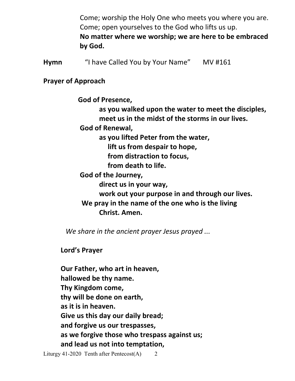Come; worship the Holy One who meets you where you are. Come; open yourselves to the God who lifts us up. **No matter where we worship; we are here to be embraced by God.**

**Hymn** "I have Called You by Your Name"MV #161

### **Prayer of Approach**

**God of Presence,** 

 **as you walked upon the water to meet the disciples, meet us in the midst of the storms in our lives.** 

 **God of Renewal,** 

 **as you lifted Peter from the water,** 

 **lift us from despair to hope,** 

 **from distraction to focus,** 

 **from death to life.** 

 **God of the Journey,** 

 **direct us in your way,** 

 **work out your purpose in and through our lives.** 

 **We pray in the name of the one who is the living Christ. Amen.** 

*We share in the ancient prayer Jesus prayed ...*

 **Lord's Prayer** 

**Our Father, who art in heaven, hallowed be thy name. Thy Kingdom come, thy will be done on earth, as it is in heaven. Give us this day our daily bread; and forgive us our trespasses, as we forgive those who trespass against us; and lead us not into temptation,**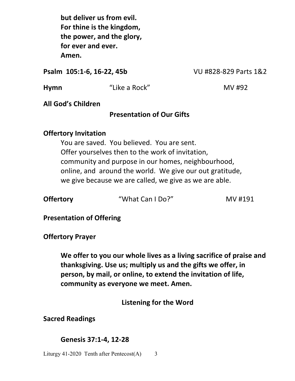**but deliver us from evil. For thine is the kingdom, the power, and the glory, for ever and ever. Amen.**

**Psalm 105:1-6, 16-22, 45b** VU #828-829 Parts 1&2

**Hymn**  $\bullet$  "Like a Rock" MV #92

**All God's Children** 

### **Presentation of Our Gifts**

### **Offertory Invitation**

 You are saved. You believed. You are sent. Offer yourselves then to the work of invitation, community and purpose in our homes, neighbourhood, online, and around the world. We give our out gratitude, we give because we are called, we give as we are able.

**Offertory "What Can I Do?"** MV #191

**Presentation of Offering** 

**Offertory Prayer** 

**We offer to you our whole lives as a living sacrifice of praise and thanksgiving. Use us; multiply us and the gifts we offer, in person, by mail, or online, to extend the invitation of life, community as everyone we meet. Amen.** 

**Listening for the Word**

**Sacred Readings** 

#### **Genesis 37:1-4, 12-28**

Liturgy 41-2020 Tenth after Pentecost $(A)$  3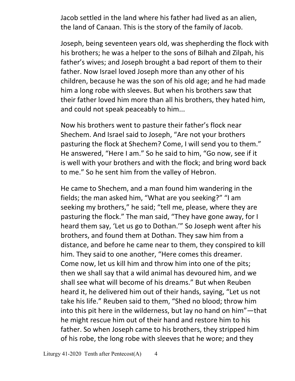Jacob settled in the land where his father had lived as an alien, the land of Canaan. This is the story of the family of Jacob.

 Joseph, being seventeen years old, was shepherding the flock with his brothers; he was a helper to the sons of Bilhah and Zilpah, his father's wives; and Joseph brought a bad report of them to their father. Now Israel loved Joseph more than any other of his children, because he was the son of his old age; and he had made him a long robe with sleeves. But when his brothers saw that their father loved him more than all his brothers, they hated him, and could not speak peaceably to him...

Now his brothers went to pasture their father's flock near Shechem. And Israel said to Joseph, "Are not your brothers pasturing the flock at Shechem? Come, I will send you to them." He answered, "Here I am." So he said to him, "Go now, see if it is well with your brothers and with the flock; and bring word back to me." So he sent him from the valley of Hebron.

 He came to Shechem, and a man found him wandering in the fields; the man asked him, "What are you seeking?" "I am seeking my brothers," he said; "tell me, please, where they are pasturing the flock." The man said, "They have gone away, for I heard them say, 'Let us go to Dothan.'" So Joseph went after his brothers, and found them at Dothan. They saw him from a distance, and before he came near to them, they conspired to kill him. They said to one another, "Here comes this dreamer. Come now, let us kill him and throw him into one of the pits; then we shall say that a wild animal has devoured him, and we shall see what will become of his dreams." But when Reuben heard it, he delivered him out of their hands, saying, "Let us not take his life." Reuben said to them, "Shed no blood; throw him into this pit here in the wilderness, but lay no hand on him"—that he might rescue him out of their hand and restore him to his father. So when Joseph came to his brothers, they stripped him of his robe, the long robe with sleeves that he wore; and they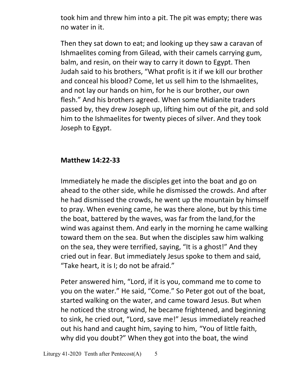took him and threw him into a pit. The pit was empty; there was no water in it.

Then they sat down to eat; and looking up they saw a caravan of Ishmaelites coming from Gilead, with their camels carrying gum, balm, and resin, on their way to carry it down to Egypt. Then Judah said to his brothers, "What profit is it if we kill our brother and conceal his blood? Come, let us sell him to the Ishmaelites, and not lay our hands on him, for he is our brother, our own flesh." And his brothers agreed. When some Midianite traders passed by, they drew Joseph up, lifting him out of the pit, and sold him to the Ishmaelites for twenty pieces of silver. And they took Joseph to Egypt.

### **Matthew 14:22-33**

Immediately he made the disciples get into the boat and go on ahead to the other side, while he dismissed the crowds. And after he had dismissed the crowds, he went up the mountain by himself to pray. When evening came, he was there alone, but by this time the boat, battered by the waves, was far from the land, for the wind was against them. And early in the morning he came walking toward them on the sea. But when the disciples saw him walking on the sea, they were terrified, saying, "It is a ghost!" And they cried out in fear. But immediately Jesus spoke to them and said, "Take heart, it is I; do not be afraid."

Peter answered him, "Lord, if it is you, command me to come to you on the water." He said, "Come." So Peter got out of the boat, started walking on the water, and came toward Jesus. But when he noticed the strong wind, he became frightened, and beginning to sink, he cried out, "Lord, save me!" Jesus immediately reached out his hand and caught him, saying to him, "You of little faith, why did you doubt?" When they got into the boat, the wind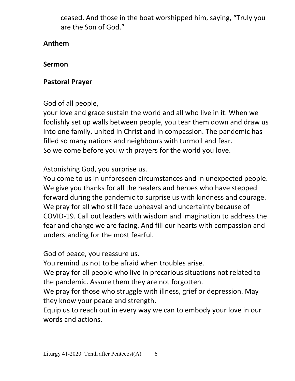ceased. And those in the boat worshipped him, saying, "Truly you are the Son of God."

## **Anthem**

## **Sermon**

# **Pastoral Prayer**

# God of all people,

your love and grace sustain the world and all who live in it. When we foolishly set up walls between people, you tear them down and draw us into one family, united in Christ and in compassion. The pandemic has filled so many nations and neighbours with turmoil and fear. So we come before you with prayers for the world you love.

# Astonishing God, you surprise us.

You come to us in unforeseen circumstances and in unexpected people. We give you thanks for all the healers and heroes who have stepped forward during the pandemic to surprise us with kindness and courage. We pray for all who still face upheaval and uncertainty because of COVID-19. Call out leaders with wisdom and imagination to address the fear and change we are facing. And fill our hearts with compassion and understanding for the most fearful.

## God of peace, you reassure us.

You remind us not to be afraid when troubles arise.

We pray for all people who live in precarious situations not related to the pandemic. Assure them they are not forgotten.

We pray for those who struggle with illness, grief or depression. May they know your peace and strength.

Equip us to reach out in every way we can to embody your love in our words and actions.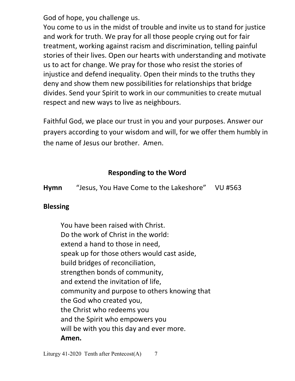God of hope, you challenge us.

You come to us in the midst of trouble and invite us to stand for justice and work for truth. We pray for all those people crying out for fair treatment, working against racism and discrimination, telling painful stories of their lives. Open our hearts with understanding and motivate us to act for change. We pray for those who resist the stories of injustice and defend inequality. Open their minds to the truths they deny and show them new possibilities for relationships that bridge divides. Send your Spirit to work in our communities to create mutual respect and new ways to live as neighbours.

Faithful God, we place our trust in you and your purposes. Answer our prayers according to your wisdom and will, for we offer them humbly in the name of Jesus our brother. Amen.

## **Responding to the Word**

**Hymn** "Jesus, You Have Come to the Lakeshore" VU #563

### **Blessing**

You have been raised with Christ. Do the work of Christ in the world: extend a hand to those in need, speak up for those others would cast aside, build bridges of reconciliation, strengthen bonds of community, and extend the invitation of life, community and purpose to others knowing that the God who created you, the Christ who redeems you and the Spirit who empowers you will be with you this day and ever more.  **Amen.**